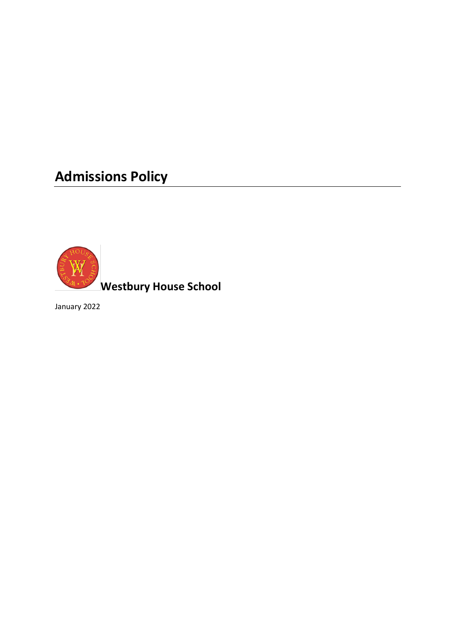# **Admissions Policy**



**Westbury House School** 

January 2022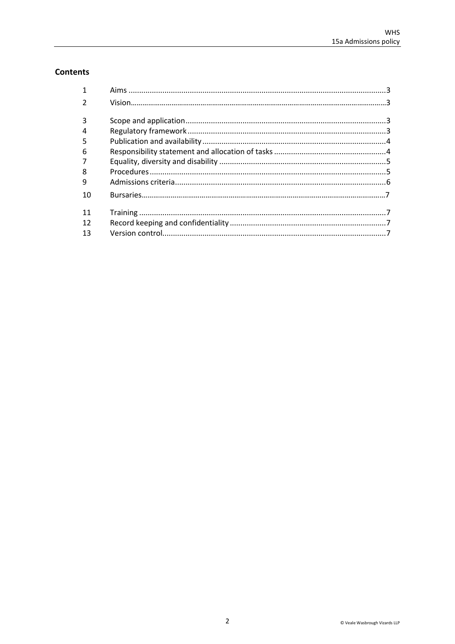# **Contents**

| 1              |  |
|----------------|--|
| $\mathcal{P}$  |  |
|                |  |
| 3              |  |
| $\overline{4}$ |  |
| 5              |  |
| 6              |  |
|                |  |
| 8              |  |
| 9              |  |
| 10             |  |
| 11             |  |
| 12             |  |
| 13             |  |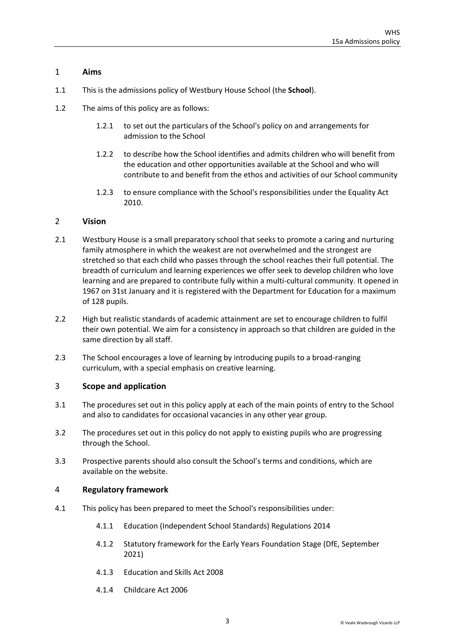# <span id="page-2-0"></span>1 **Aims**

- 1.1 This is the admissions policy of Westbury House School (the **School**).
- 1.2 The aims of this policy are as follows:
	- 1.2.1 to set out the particulars of the School's policy on and arrangements for admission to the School
	- 1.2.2 to describe how the School identifies and admits children who will benefit from the education and other opportunities available at the School and who will contribute to and benefit from the ethos and activities of our School community
	- 1.2.3 to ensure compliance with the School's responsibilities under the Equality Act 2010.

#### <span id="page-2-1"></span>2 **Vision**

- 2.1 Westbury House is a small preparatory school that seeks to promote a caring and nurturing family atmosphere in which the weakest are not overwhelmed and the strongest are stretched so that each child who passes through the school reaches their full potential. The breadth of curriculum and learning experiences we offer seek to develop children who love learning and are prepared to contribute fully within a multi-cultural community. It opened in 1967 on 31st January and it is registered with the Department for Education for a maximum of 128 pupils.
- 2.2 High but realistic standards of academic attainment are set to encourage children to fulfil their own potential. We aim for a consistency in approach so that children are guided in the same direction by all staff.
- 2.3 The School encourages a love of learning by introducing pupils to a broad-ranging curriculum, with a special emphasis on creative learning.

# 3 **Scope and application**

- 3.1 The procedures set out in this policy apply at each of the main points of entry to the School and also to candidates for occasional vacancies in any other year group.
- 3.2 The procedures set out in this policy do not apply to existing pupils who are progressing through the School.
- 3.3 Prospective parents should also consult the School's terms and conditions, which are available on the website.

#### <span id="page-2-2"></span>4 **Regulatory framework**

- 4.1 This policy has been prepared to meet the School's responsibilities under:
	- 4.1.1 Education (Independent School Standards) Regulations 2014
	- 4.1.2 Statutory framework for the Early Years Foundation Stage (DfE, September 2021)
	- 4.1.3 Education and Skills Act 2008
	- 4.1.4 Childcare Act 2006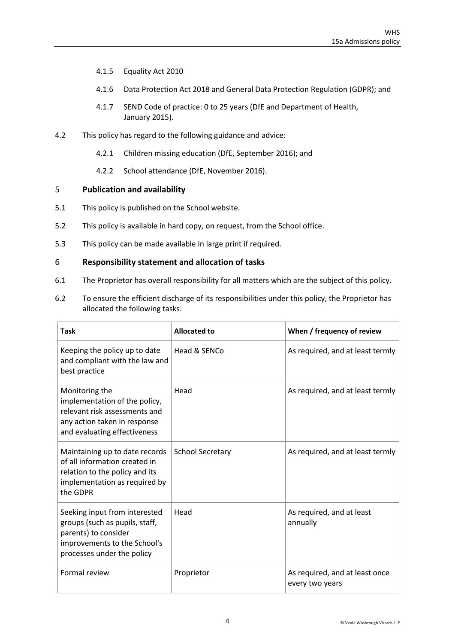- 4.1.5 Equality Act 2010
- 4.1.6 Data Protection Act 2018 and General Data Protection Regulation (GDPR); and
- 4.1.7 SEND Code of practice: 0 to 25 years (DfE and Department of Health, January 2015).
- 4.2 This policy has regard to the following guidance and advice:
	- 4.2.1 [Children missing education \(DfE, September 2016\);](https://www.gov.uk/government/uploads/system/uploads/attachment_data/file/550416/Children_Missing_Education_-_statutory_guidance.pdf) and
	- 4.2.2 School [attendance \(DfE, November 2016\).](https://www.gov.uk/government/uploads/system/uploads/attachment_data/file/564599/school_attendance.pdf)

#### <span id="page-3-0"></span>5 **Publication and availability**

- 5.1 This policy is published on the School website.
- 5.2 This policy is available in hard copy, on request, from the School office.
- 5.3 This policy can be made available in large print if required.

#### <span id="page-3-1"></span>6 **Responsibility statement and allocation of tasks**

- 6.1 The Proprietor has overall responsibility for all matters which are the subject of this policy.
- 6.2 To ensure the efficient discharge of its responsibilities under this policy, the Proprietor has allocated the following tasks:

| Task                                                                                                                                                  | <b>Allocated to</b>     | When / frequency of review                        |
|-------------------------------------------------------------------------------------------------------------------------------------------------------|-------------------------|---------------------------------------------------|
| Keeping the policy up to date<br>and compliant with the law and<br>best practice                                                                      | Head & SENCo            | As required, and at least termly                  |
| Monitoring the<br>implementation of the policy,<br>relevant risk assessments and<br>any action taken in response<br>and evaluating effectiveness      | Head                    | As required, and at least termly                  |
| Maintaining up to date records<br>of all information created in<br>relation to the policy and its<br>implementation as required by<br>the GDPR        | <b>School Secretary</b> | As required, and at least termly                  |
| Seeking input from interested<br>groups (such as pupils, staff,<br>parents) to consider<br>improvements to the School's<br>processes under the policy | Head                    | As required, and at least<br>annually             |
| Formal review                                                                                                                                         | Proprietor              | As required, and at least once<br>every two years |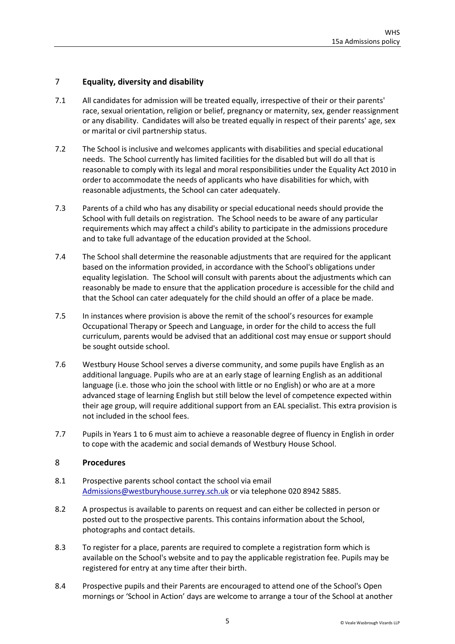# <span id="page-4-0"></span>7 **Equality, diversity and disability**

- 7.1 All candidates for admission will be treated equally, irrespective of their or their parents' race, sexual orientation, religion or belief, pregnancy or maternity, sex, gender reassignment or any disability. Candidates will also be treated equally in respect of their parents' age, sex or marital or civil partnership status.
- 7.2 The School is inclusive and welcomes applicants with disabilities and special educational needs. The School currently has limited facilities for the disabled but will do all that is reasonable to comply with its legal and moral responsibilities under the Equality Act 2010 in order to accommodate the needs of applicants who have disabilities for which, with reasonable adjustments, the School can cater adequately.
- 7.3 Parents of a child who has any disability or special educational needs should provide the School with full details on registration. The School needs to be aware of any particular requirements which may affect a child's ability to participate in the admissions procedure and to take full advantage of the education provided at the School.
- 7.4 The School shall determine the reasonable adjustments that are required for the applicant based on the information provided, in accordance with the School's obligations under equality legislation. The School will consult with parents about the adjustments which can reasonably be made to ensure that the application procedure is accessible for the child and that the School can cater adequately for the child should an offer of a place be made.
- 7.5 In instances where provision is above the remit of the school's resources for example Occupational Therapy or Speech and Language, in order for the child to access the full curriculum, parents would be advised that an additional cost may ensue or support should be sought outside school.
- 7.6 Westbury House School serves a diverse community, and some pupils have English as an additional language. Pupils who are at an early stage of learning English as an additional language (i.e. those who join the school with little or no English) or who are at a more advanced stage of learning English but still below the level of competence expected within their age group, will require additional support from an EAL specialist. This extra provision is not included in the school fees.
- 7.7 Pupils in Years 1 to 6 must aim to achieve a reasonable degree of fluency in English in order to cope with the academic and social demands of Westbury House School.

# <span id="page-4-1"></span>8 **Procedures**

- 8.1 Prospective parents school contact the school via email [Admissions@westburyhouse.surrey.sch.uk](mailto:Admissions@westburyhouse.surrey.sch.uk) or via telephone 020 8942 5885.
- 8.2 A prospectus is available to parents on request and can either be collected in person or posted out to the prospective parents. This contains information about the School, photographs and contact details.
- 8.3 To register for a place, parents are required to complete a registration form which is available on the School's website and to pay the applicable registration fee. Pupils may be registered for entry at any time after their birth.
- 8.4 Prospective pupils and their Parents are encouraged to attend one of the School's Open mornings or 'School in Action' days are welcome to arrange a tour of the School at another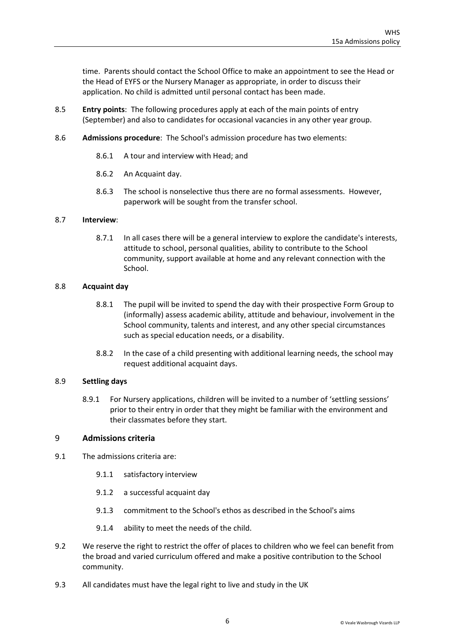time. Parents should contact the School Office to make an appointment to see the Head or the Head of EYFS or the Nursery Manager as appropriate, in order to discuss their application. No child is admitted until personal contact has been made.

- 8.5 **Entry points**: The following procedures apply at each of the main points of entry (September) and also to candidates for occasional vacancies in any other year group.
- 8.6 **Admissions procedure**: The School's admission procedure has two elements:
	- 8.6.1 A tour and interview with Head; and
	- 8.6.2 An Acquaint day.
	- 8.6.3 The school is nonselective thus there are no formal assessments. However, paperwork will be sought from the transfer school.

#### 8.7 **Interview**:

8.7.1 In all cases there will be a general interview to explore the candidate's interests, attitude to school, personal qualities, ability to contribute to the School community, support available at home and any relevant connection with the School.

#### 8.8 **Acquaint day**

- 8.8.1 The pupil will be invited to spend the day with their prospective Form Group to (informally) assess academic ability, attitude and behaviour, involvement in the School community, talents and interest, and any other special circumstances such as special education needs, or a disability.
- 8.8.2 In the case of a child presenting with additional learning needs, the school may request additional acquaint days.

#### 8.9 **Settling days**

8.9.1 For Nursery applications, children will be invited to a number of 'settling sessions' prior to their entry in order that they might be familiar with the environment and their classmates before they start.

# <span id="page-5-0"></span>9 **Admissions criteria**

- 9.1 The admissions criteria are:
	- 9.1.1 satisfactory interview
	- 9.1.2 a successful acquaint day
	- 9.1.3 commitment to the School's ethos as described in the School's aims
	- 9.1.4 ability to meet the needs of the child.
- 9.2 We reserve the right to restrict the offer of places to children who we feel can benefit from the broad and varied curriculum offered and make a positive contribution to the School community.
- 9.3 All candidates must have the legal right to live and study in the UK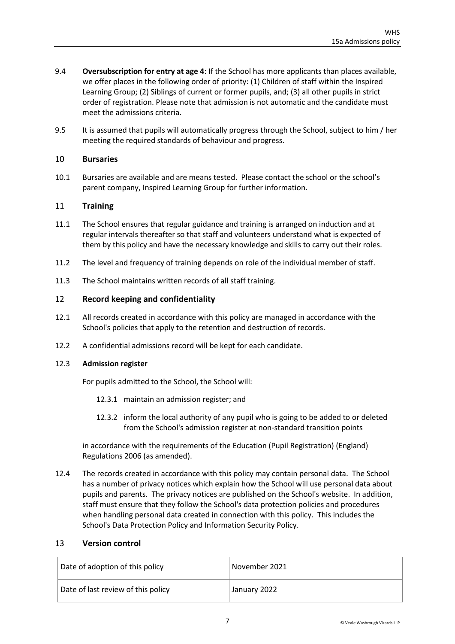- 9.4 **Oversubscription for entry at age 4**: If the School has more applicants than places available, we offer places in the following order of priority: (1) Children of staff within the Inspired Learning Group; (2) Siblings of current or former pupils, and; (3) all other pupils in strict order of registration. Please note that admission is not automatic and the candidate must meet the admissions criteria.
- 9.5 It is assumed that pupils will automatically progress through the School, subject to him / her meeting the required standards of behaviour and progress.

# 10 **Bursaries**

10.1 Bursaries are available and are means tested. Please contact the school or the school's parent company, Inspired Learning Group for further information.

#### <span id="page-6-0"></span>11 **Training**

- 11.1 The School ensures that regular guidance and training is arranged on induction and at regular intervals thereafter so that staff and volunteers understand what is expected of them by this policy and have the necessary knowledge and skills to carry out their roles.
- 11.2 The level and frequency of training depends on role of the individual member of staff.
- 11.3 The School maintains written records of all staff training.

#### <span id="page-6-1"></span>12 **Record keeping and confidentiality**

- 12.1 All records created in accordance with this policy are managed in accordance with the School's policies that apply to the retention and destruction of records.
- 12.2 A confidential admissions record will be kept for each candidate.

#### 12.3 **Admission register**

For pupils admitted to the School, the School will:

- 12.3.1 maintain an admission register; and
- 12.3.2 inform the local authority of any pupil who is going to be added to or deleted from the School's admission register at non-standard transition points

in accordance with the requirements of the Education (Pupil Registration) (England) Regulations 2006 (as amended).

12.4 The records created in accordance with this policy may contain personal data. The School has a number of privacy notices which explain how the School will use personal data about pupils and parents. The privacy notices are published on the School's website. In addition, staff must ensure that they follow the School's data protection policies and procedures when handling personal data created in connection with this policy. This includes the School's Data Protection Policy and Information Security Policy.

#### <span id="page-6-2"></span>13 **Version control**

| Date of adoption of this policy    | November 2021 |
|------------------------------------|---------------|
| Date of last review of this policy | January 2022  |